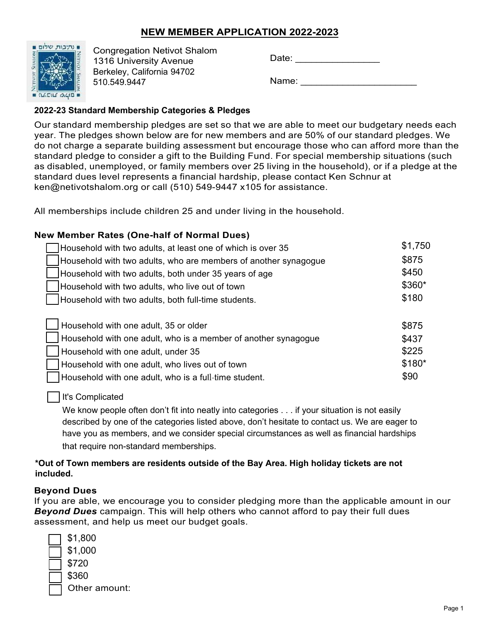### **NEW MEMBER APPLICATION 2022-2023**



Congregation Netivot Shalom 1316 University Avenue Berkeley, California 94702 510.549.9447

Name:

#### **2022‐23 Standard Membership Categories & Pledges**

Our standard membership pledges are set so that we are able to meet our budgetary needs each year. The pledges shown below are for new members and are 50% of our standard pledges. We do not charge a separate building assessment but encourage those who can afford more than the standard pledge to consider a gift to the Building Fund. For special membership situations (such as disabled, unemployed, or family members over 25 living in the household), or if a pledge at the standard dues level represents a financial hardship, please contact Ken Schnur at ken@netivotshalom.org or call (510) 549-9447 x105 for assistance.

All memberships include children 25 and under living in the household.

#### \$875 \$1,750 \$450 \$225 \$90 \$875 Household with two adults, at least one of which is over 35 Household with two adults, who are members of another synagogue Household with two adults, both under 35 years of age Household with two adults, who live out of town Household with two adults, both full-time students. Household with one adult, 35 or older Household with one adult, who is a member of another synagogue Household with one adult, under 35 Household with one adult, who lives out of town Household with one adult, who is a full-time student. **New Member Rates (One-half of Normal Dues)** \$360\* \$180 \$180\* \$437

#### It's Complicated

We know people often don't fit into neatly into categories . . . if your situation is not easily described by one of the categories listed above, don't hesitate to contact us. We are eager to have you as members, and we consider special circumstances as well as financial hardships that require non‐standard memberships.

#### **\*Out of Town members are residents outside of the Bay Area. High holiday tickets are not included.**

#### **Beyond Dues**

If you are able, we encourage you to consider pledging more than the applicable amount in our *Beyond Dues* campaign. This will help others who cannot afford to pay their full dues assessment, and help us meet our budget goals.

| \$1,800 |
|---------|
| \$1,000 |
| \$720   |
| \$360   |
| Other : |
|         |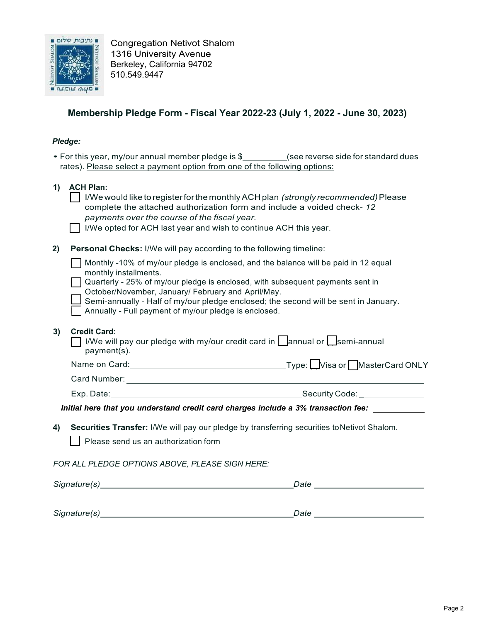

Congregation Netivot Shalom 1316 University Avenue Berkeley, California 94702 510.549.9447

## **Membership Pledge Form - Fiscal Year 2022-23 (July 1, 2022 - June 30, 2023)**

#### *Pledge:*

| , , , , , , , , |                                                                                                                                                                                                                                                                                                       |
|-----------------|-------------------------------------------------------------------------------------------------------------------------------------------------------------------------------------------------------------------------------------------------------------------------------------------------------|
|                 | • For this year, my/our annual member pledge is \$_________(see reverse side for standard dues<br>rates). Please select a payment option from one of the following options:                                                                                                                           |
| 1)              | <b>ACH Plan:</b><br>I/We would like to register for the monthly ACH plan (strongly recommended) Please<br>complete the attached authorization form and include a voided check- 12<br>payments over the course of the fiscal year.<br>I/We opted for ACH last year and wish to continue ACH this year. |
| 2)              | Personal Checks: I/We will pay according to the following timeline:                                                                                                                                                                                                                                   |
|                 | Monthly -10% of my/our pledge is enclosed, and the balance will be paid in 12 equal<br>monthly installments.<br>Quarterly - 25% of my/our pledge is enclosed, with subsequent payments sent in                                                                                                        |
|                 | October/November, January/ February and April/May.<br>Semi-annually - Half of my/our pledge enclosed; the second will be sent in January.<br>Annually - Full payment of my/our pledge is enclosed.                                                                                                    |
| 3)              | <b>Credit Card:</b><br>I/We will pay our pledge with my/our credit card in $\Box$ annual or $\Box$ semi-annual<br>payment(s).                                                                                                                                                                         |
|                 | Name on Card: <u>Carriel Communications</u> Communications Control Communications Control Control Control Control Control Control Control Control Control Control Control Control Control Control Control Control Control Control C                                                                   |
|                 |                                                                                                                                                                                                                                                                                                       |
|                 |                                                                                                                                                                                                                                                                                                       |
|                 | Initial here that you understand credit card charges include a 3% transaction fee: ___________                                                                                                                                                                                                        |
| 4)              | Securities Transfer: I/We will pay our pledge by transferring securities to Netivot Shalom.<br>Please send us an authorization form                                                                                                                                                                   |

*FOR ALL PLEDGE OPTIONS ABOVE, PLEASE SIGN HERE:*

*Signature(s) Date*

*Signature(s) Date*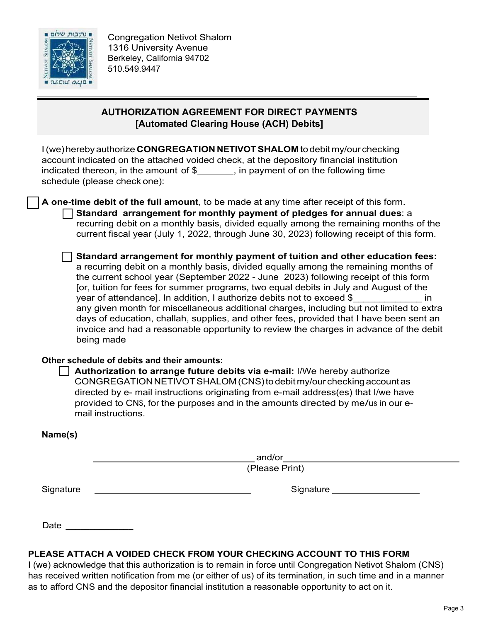

### **AUTHORIZATION AGREEMENT FOR DIRECT PAYMENTS [Automated Clearing House (ACH) Debits]**

I (we) hereby authorize **CONGREGATION NETIVOTSHALOM** to debit my/our checking account indicated on the attached voided check, at the depository financial institution indicated thereon, in the amount of  $\frac{1}{2}$ , in payment of on the following time schedule (please check one):

**A one-time debit of the full amount**, to be made at any time after receipt of this form. **Standard arrangement for monthly payment of pledges for annual dues**: a recurring debit on a monthly basis, divided equally among the remaining months of the current fiscal year (July 1, 2022, through June 30, 2023) following receipt of this form.

**Standard arrangement for monthly payment of tuition and other education fees:** a recurring debit on a monthly basis, divided equally among the remaining months of the current school year (September 2022 - June 2023) following receipt of this form [or, tuition for fees for summer programs, two equal debits in July and August of the year of attendance]. In addition, I authorize debits not to exceed \$ \_\_\_\_\_\_\_\_\_\_\_ in any given month for miscellaneous additional charges, including but not limited to extra days of education, challah, supplies, and other fees, provided that I have been sent an invoice and had a reasonable opportunity to review the charges in advance of the debit being made

#### **Other schedule of debits and their amounts:**

Authorization to arrange future debits via e-mail: I/We hereby authorize CONGREGATIONNETIVOTSHALOM(CNS)to debitmy/our checkingaccountas directed by e- mail instructions originating from e-mail address(es) that I/we have provided to CNS, for the purposes and in the amounts directed by me/us in our email instructions.

| Name(s)   |                    |  |
|-----------|--------------------|--|
|           | $_$ and/or _______ |  |
|           | (Please Print)     |  |
| Signature |                    |  |
|           |                    |  |
| Date      |                    |  |

### **PLEASE ATTACH A VOIDED CHECK FROM YOUR CHECKING ACCOUNT TO THIS FORM**

I (we) acknowledge that this authorization is to remain in force until Congregation Netivot Shalom (CNS) has received written notification from me (or either of us) of its termination, in such time and in a manner as to afford CNS and the depositor financial institution a reasonable opportunity to act on it.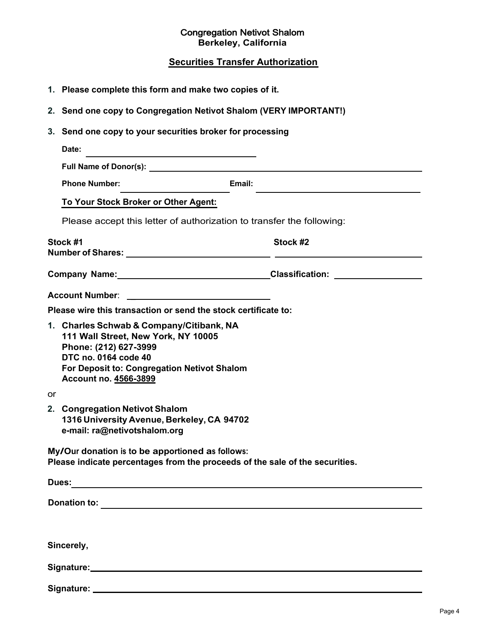#### Congregation Netivot Shalom **Berkeley, California**

# **Securities Transfer Authorization**

|    | 1. Please complete this form and make two copies of it.                                                                                                                                                                        |          |  |
|----|--------------------------------------------------------------------------------------------------------------------------------------------------------------------------------------------------------------------------------|----------|--|
|    | 2. Send one copy to Congregation Netivot Shalom (VERY IMPORTANT!)                                                                                                                                                              |          |  |
|    | 3. Send one copy to your securities broker for processing                                                                                                                                                                      |          |  |
|    | Date:                                                                                                                                                                                                                          |          |  |
|    |                                                                                                                                                                                                                                |          |  |
|    | Email:<br><b>Phone Number:</b>                                                                                                                                                                                                 |          |  |
|    | To Your Stock Broker or Other Agent:                                                                                                                                                                                           |          |  |
|    | Please accept this letter of authorization to transfer the following:                                                                                                                                                          |          |  |
|    | Stock #1                                                                                                                                                                                                                       | Stock #2 |  |
|    |                                                                                                                                                                                                                                |          |  |
|    | <b>Account Number:</b>                                                                                                                                                                                                         |          |  |
|    | Please wire this transaction or send the stock certificate to:                                                                                                                                                                 |          |  |
|    | 1. Charles Schwab & Company/Citibank, NA<br>111 Wall Street, New York, NY 10005<br>Phone: (212) 627-3999<br>DTC no. 0164 code 40<br>For Deposit to: Congregation Netivot Shalom<br>Account no. 4566-3899                       |          |  |
| or |                                                                                                                                                                                                                                |          |  |
|    | 2. Congregation Netivot Shalom<br>1316 University Avenue, Berkeley, CA 94702<br>e-mail: ra@netivotshalom.org                                                                                                                   |          |  |
|    | My/Our donation is to be apportioned as follows:<br>Please indicate percentages from the proceeds of the sale of the securities.                                                                                               |          |  |
|    |                                                                                                                                                                                                                                |          |  |
|    |                                                                                                                                                                                                                                |          |  |
|    |                                                                                                                                                                                                                                |          |  |
|    | Sincerely,                                                                                                                                                                                                                     |          |  |
|    | Signature: Management of the Contract of the Contract of the Contract of the Contract of the Contract of the Contract of the Contract of the Contract of the Contract of the Contract of the Contract of the Contract of the C |          |  |
|    |                                                                                                                                                                                                                                |          |  |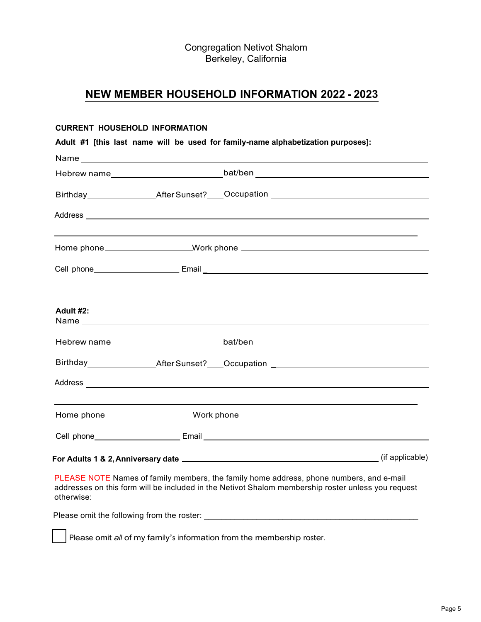Congregation Netivot Shalom Berkeley, California

## **NEW MEMBER HOUSEHOLD INFORMATION 2022 - 2023**

#### **CURRENT HOUSEHOLD INFORMATION**

| Adult #1 [this last name will be used for family-name alphabetization purposes]: |  |                                                             |                                                                                                                                                                                                                               |
|----------------------------------------------------------------------------------|--|-------------------------------------------------------------|-------------------------------------------------------------------------------------------------------------------------------------------------------------------------------------------------------------------------------|
|                                                                                  |  |                                                             |                                                                                                                                                                                                                               |
|                                                                                  |  |                                                             | Hebrew name_______________________________bat/ben ______________________________                                                                                                                                              |
|                                                                                  |  |                                                             | Birthday __________________After Sunset?____Occupation _________________________                                                                                                                                              |
|                                                                                  |  |                                                             |                                                                                                                                                                                                                               |
|                                                                                  |  |                                                             |                                                                                                                                                                                                                               |
|                                                                                  |  |                                                             |                                                                                                                                                                                                                               |
|                                                                                  |  |                                                             |                                                                                                                                                                                                                               |
| Adult #2:                                                                        |  |                                                             |                                                                                                                                                                                                                               |
|                                                                                  |  |                                                             | Hebrew name___________________________________bat/ben ___________________________                                                                                                                                             |
|                                                                                  |  |                                                             | Birthday __________________After Sunset?____Occupation _________________________                                                                                                                                              |
|                                                                                  |  |                                                             |                                                                                                                                                                                                                               |
|                                                                                  |  | <u> 1989 - Johann Stoff, Amerikaansk politiker (* 1908)</u> |                                                                                                                                                                                                                               |
|                                                                                  |  |                                                             |                                                                                                                                                                                                                               |
|                                                                                  |  |                                                             | For Adults 1 & 2, Anniversary date 1. And the set of the set of the set of the set of the set of the set of the set of the set of the set of the set of the set of the set of the set of the set of the set of the set of the |
|                                                                                  |  |                                                             | DUE AOE NOTE NUMBER OF STREET AND LODGED AND LODGED IN A STREET STREET AND THE STREET AND THE STREET AND THE STREET                                                                                                           |

PLEASE NOTE Names of family members, the family home address, phone numbers, and e-mail addresses on this form will be included in the Netivot Shalom membership roster unless you request otherwise:

Please omit the following from the roster: \_\_\_\_\_\_\_\_\_\_\_\_\_\_\_\_\_\_\_\_\_\_\_\_\_\_\_\_\_\_\_\_\_\_\_\_\_\_\_\_\_\_\_\_\_\_\_\_\_

Please omit *all* of my family's information from the membership roster.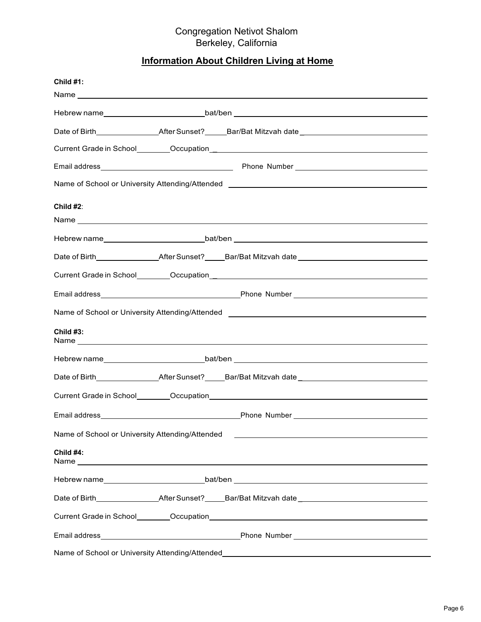#### Congregation Netivot Shalom Berkeley, California

## **Information About Children Living at Home**

| Child #1:                                       |                                                                                                                                                                                                                                |
|-------------------------------------------------|--------------------------------------------------------------------------------------------------------------------------------------------------------------------------------------------------------------------------------|
|                                                 |                                                                                                                                                                                                                                |
|                                                 |                                                                                                                                                                                                                                |
|                                                 |                                                                                                                                                                                                                                |
|                                                 |                                                                                                                                                                                                                                |
|                                                 |                                                                                                                                                                                                                                |
|                                                 | Name of School or University Attending/Attended ________________________________                                                                                                                                               |
| Child $#2$ :                                    |                                                                                                                                                                                                                                |
|                                                 |                                                                                                                                                                                                                                |
|                                                 |                                                                                                                                                                                                                                |
|                                                 | Date of Birth__________________After Sunset?_____Bar/Bat Mitzvah date_______________________________                                                                                                                           |
|                                                 |                                                                                                                                                                                                                                |
|                                                 |                                                                                                                                                                                                                                |
|                                                 |                                                                                                                                                                                                                                |
| Child $#3:$                                     |                                                                                                                                                                                                                                |
|                                                 |                                                                                                                                                                                                                                |
|                                                 |                                                                                                                                                                                                                                |
|                                                 |                                                                                                                                                                                                                                |
|                                                 |                                                                                                                                                                                                                                |
| Name of School or University Attending/Attended |                                                                                                                                                                                                                                |
| Child #4:                                       |                                                                                                                                                                                                                                |
|                                                 |                                                                                                                                                                                                                                |
|                                                 |                                                                                                                                                                                                                                |
|                                                 | Current Grade in School Cocupation Control of the Control of the Control of the Control of the Control of the Control of the Control of the Control of the Control of the Control of the Control of the Control of the Control |
|                                                 |                                                                                                                                                                                                                                |
|                                                 |                                                                                                                                                                                                                                |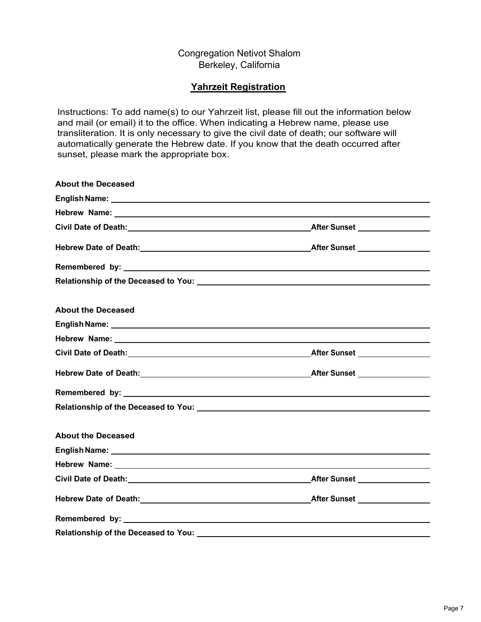#### Congregation Netivot Shalom Berkeley, California

#### **Yahrzeit Registration**

Instructions: To add name(s) to our Yahrzeit list, please fill out the information below and mail (or email) it to the office. When indicating a Hebrew name, please use transliteration. It is only necessary to give the civil date of death; our software will automatically generate the Hebrew date. If you know that the death occurred after sunset, please mark the appropriate box.

| <b>About the Deceased</b>                                                                                                                                                                                                      |  |
|--------------------------------------------------------------------------------------------------------------------------------------------------------------------------------------------------------------------------------|--|
|                                                                                                                                                                                                                                |  |
|                                                                                                                                                                                                                                |  |
|                                                                                                                                                                                                                                |  |
|                                                                                                                                                                                                                                |  |
|                                                                                                                                                                                                                                |  |
|                                                                                                                                                                                                                                |  |
| <b>About the Deceased</b>                                                                                                                                                                                                      |  |
|                                                                                                                                                                                                                                |  |
|                                                                                                                                                                                                                                |  |
|                                                                                                                                                                                                                                |  |
|                                                                                                                                                                                                                                |  |
|                                                                                                                                                                                                                                |  |
| Relationship of the Deceased to You: \\comes\\\sqrt{\sqrt{\sqrt{\sqrt{\sqrt{\sqrt{\sqrt{\sqrt{\sqrt{\sqrt{\sqrt{\sqrt{\sqrt{\sqrt{\sqrt{\sqrt{\sqrt{\sqrt{\sqrt{\sqrt{\sqrt{\sqrt{\sqrt{\sqrt{\sqrt{\sqrt{\sqrt{\sqrt{\sqrt{\s |  |
| <b>About the Deceased</b>                                                                                                                                                                                                      |  |
|                                                                                                                                                                                                                                |  |
|                                                                                                                                                                                                                                |  |
|                                                                                                                                                                                                                                |  |
|                                                                                                                                                                                                                                |  |
|                                                                                                                                                                                                                                |  |
| <b>Relationship of the Deceased to You:</b>                                                                                                                                                                                    |  |